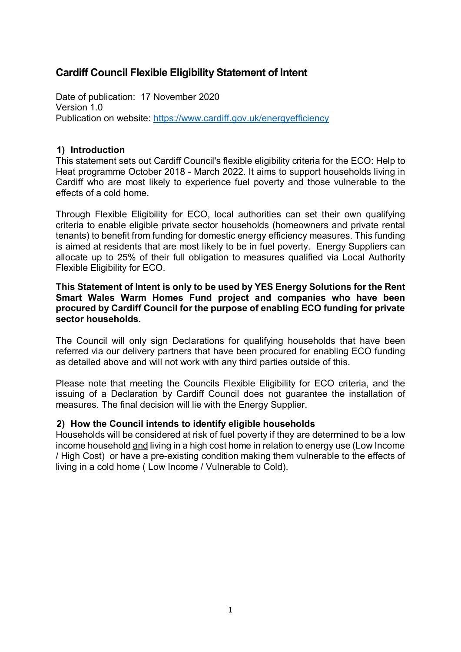# **Cardiff Council Flexible Eligibility Statement of Intent**

Date of publication: 17 November 2020 Version 1.0 Publication on website:<https://www.cardiff.gov.uk/energyefficiency>

### **1) Introduction**

This statement sets out Cardiff Council's flexible eligibility criteria for the ECO: Help to Heat programme October 2018 - March 2022. It aims to support households living in Cardiff who are most likely to experience fuel poverty and those vulnerable to the effects of a cold home.

Through Flexible Eligibility for ECO, local authorities can set their own qualifying criteria to enable eligible private sector households (homeowners and private rental tenants) to benefit from funding for domestic energy efficiency measures. This funding is aimed at residents that are most likely to be in fuel poverty. Energy Suppliers can allocate up to 25% of their full obligation to measures qualified via Local Authority Flexible Eligibility for ECO.

### **This Statement of Intent is only to be used by YES Energy Solutions for the Rent Smart Wales Warm Homes Fund project and companies who have been procured by Cardiff Council for the purpose of enabling ECO funding for private sector households.**

The Council will only sign Declarations for qualifying households that have been referred via our delivery partners that have been procured for enabling ECO funding as detailed above and will not work with any third parties outside of this.

Please note that meeting the Councils Flexible Eligibility for ECO criteria, and the issuing of a Declaration by Cardiff Council does not guarantee the installation of measures. The final decision will lie with the Energy Supplier.

### **2) How the Council intends to identify eligible households**

Households will be considered at risk of fuel poverty if they are determined to be a low income household and living in a high cost home in relation to energy use (Low Income / High Cost) or have a pre-existing condition making them vulnerable to the effects of living in a cold home ( Low Income / Vulnerable to Cold).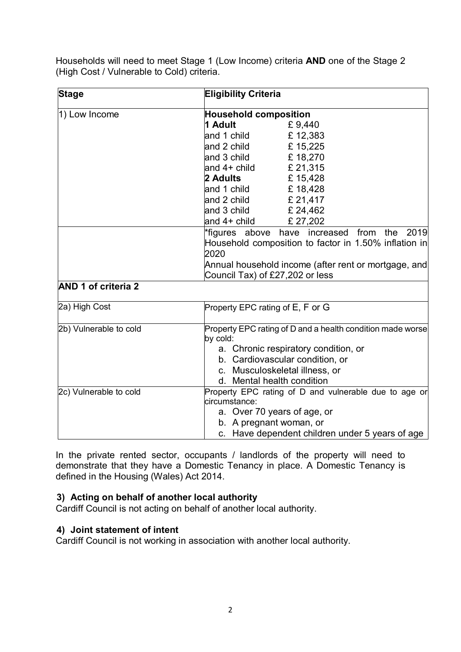Households will need to meet Stage 1 (Low Income) criteria **AND** one of the Stage 2 (High Cost / Vulnerable to Cold) criteria.

| <b>Stage</b>               |                                                       | <b>Eligibility Criteria</b>                                |  |
|----------------------------|-------------------------------------------------------|------------------------------------------------------------|--|
| 1) Low Income              | <b>Household composition</b>                          |                                                            |  |
|                            | 1 Adult                                               | £9,440                                                     |  |
|                            | and 1 child                                           | £12,383                                                    |  |
|                            | and 2 child                                           | £15,225                                                    |  |
|                            | and 3 child $£ 18,270$                                |                                                            |  |
|                            | and $4+$ child $\qquad \qquad$ £ 21,315               |                                                            |  |
|                            | 2 Adults                                              | £15,428                                                    |  |
|                            | and 1 child                                           | £18,428                                                    |  |
|                            | and 2 child $\epsilon$ 21,417                         |                                                            |  |
|                            | and 3 child $\epsilon$ 24,462                         |                                                            |  |
|                            | and 4+ child                                          | £27,202                                                    |  |
|                            |                                                       | the 2019<br>*figures above have increased<br>from          |  |
|                            | Household composition to factor in 1.50% inflation in |                                                            |  |
|                            | 2020                                                  |                                                            |  |
|                            | Annual household income (after rent or mortgage, and  |                                                            |  |
|                            | Council Tax) of £27,202 or less                       |                                                            |  |
| <b>AND 1 of criteria 2</b> |                                                       |                                                            |  |
| 2a) High Cost              | Property EPC rating of E, F or G                      |                                                            |  |
| 2b) Vulnerable to cold     |                                                       | Property EPC rating of D and a health condition made worse |  |
|                            | by cold:                                              |                                                            |  |
|                            | a. Chronic respiratory condition, or                  |                                                            |  |
|                            | b. Cardiovascular condition, or                       |                                                            |  |
|                            | c. Musculoskeletal illness, or                        |                                                            |  |
|                            | d. Mental health condition                            |                                                            |  |
| 2c) Vulnerable to cold     | Property EPC rating of D and vulnerable due to age or |                                                            |  |
|                            | circumstance:                                         |                                                            |  |
|                            | a. Over 70 years of age, or                           |                                                            |  |
|                            | b. A pregnant woman, or                               |                                                            |  |
|                            |                                                       | c. Have dependent children under 5 years of age            |  |

In the private rented sector, occupants / landlords of the property will need to demonstrate that they have a Domestic Tenancy in place. A Domestic Tenancy is defined in the Housing (Wales) Act 2014.

## **3) Acting on behalf of another local authority**

Cardiff Council is not acting on behalf of another local authority.

## **4) Joint statement of intent**

Cardiff Council is not working in association with another local authority.